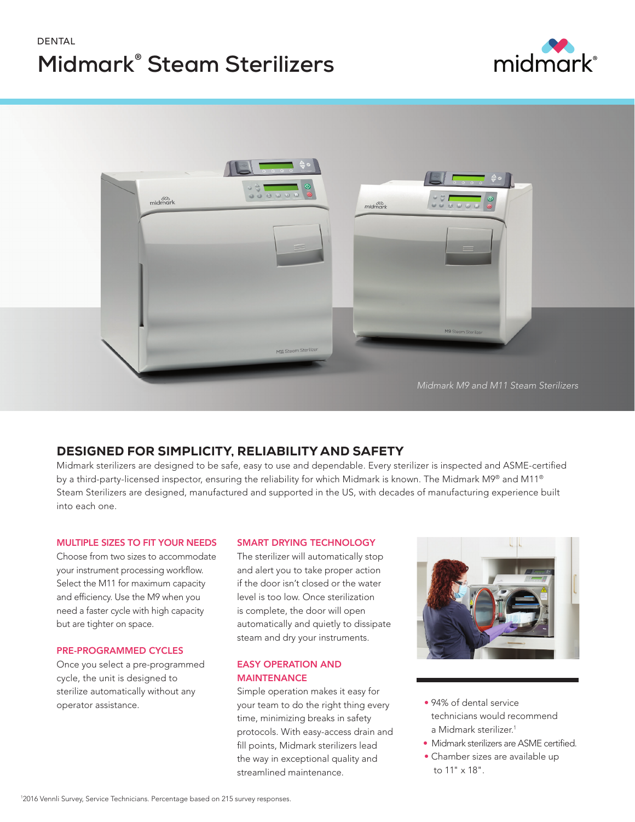# DENTAL **Midmark® Steam Sterilizers**





# DESIGNED FOR SIMPLICITY, RELIABILITY AND SAFETY

Midmark sterilizers are designed to be safe, easy to use and dependable. Every sterilizer is inspected and ASME-certified by a third-party-licensed inspector, ensuring the reliability for which Midmark is known. The Midmark M9® and M11® Steam Sterilizers are designed, manufactured and supported in the US, with decades of manufacturing experience built into each one.

## MULTIPLE SIZES TO FIT YOUR NEEDS

Choose from two sizes to accommodate your instrument processing workflow. Select the M11 for maximum capacity and efficiency. Use the M9 when you need a faster cycle with high capacity but are tighter on space.

## PRE-PROGRAMMED CYCLES

Once you select a pre-programmed cycle, the unit is designed to sterilize automatically without any operator assistance.

## SMART DRYING TECHNOLOGY

The sterilizer will automatically stop and alert you to take proper action if the door isn't closed or the water level is too low. Once sterilization is complete, the door will open automatically and quietly to dissipate steam and dry your instruments.

## EASY OPERATION AND MAINTENANCE

Simple operation makes it easy for your team to do the right thing every time, minimizing breaks in safety protocols. With easy-access drain and fill points, Midmark sterilizers lead the way in exceptional quality and streamlined maintenance.



- 94% of dental service technicians would recommend a Midmark sterilizer.<sup>1</sup>
- Midmark sterilizers are ASME certified.
- Chamber sizes are available up to 11" x 18".